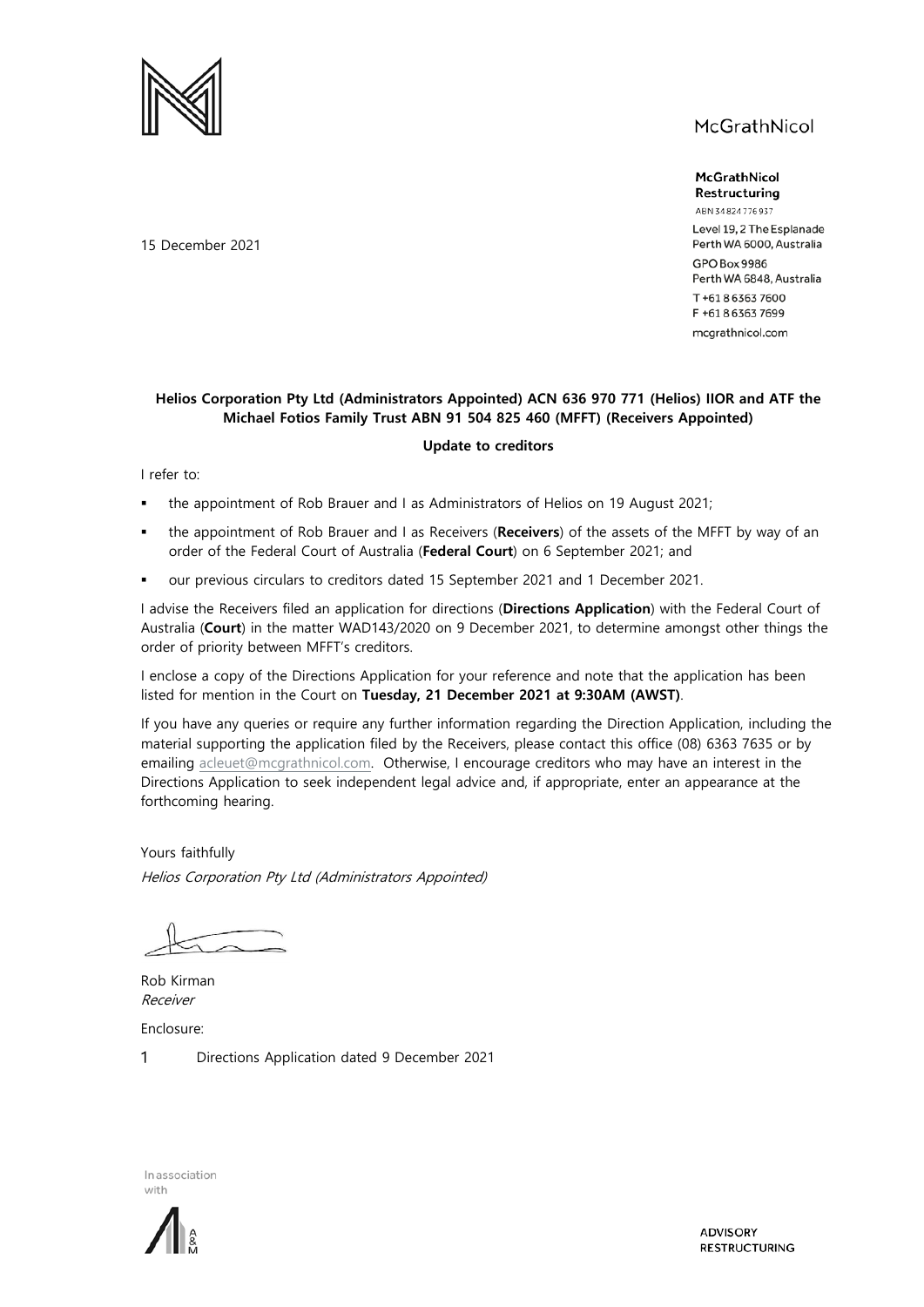



ABN 34824776937 Level 19, 2 The Esplanade Perth WA 6000, Australia GPO Box 9986 Perth WA 6848, Australia T+61863637600 F +61863637699 mcgrathnicol.com

## **Helios Corporation Pty Ltd (Administrators Appointed) ACN 636 970 771 (Helios) IIOR and ATF the Michael Fotios Family Trust ABN 91 504 825 460 (MFFT) (Receivers Appointed)**

## **Update to creditors**

I refer to:

- the appointment of Rob Brauer and I as Administrators of Helios on 19 August 2021;
- the appointment of Rob Brauer and I as Receivers (**Receivers**) of the assets of the MFFT by way of an order of the Federal Court of Australia (**Federal Court**) on 6 September 2021; and
- our previous circulars to creditors dated 15 September 2021 and 1 December 2021.

I advise the Receivers filed an application for directions (**Directions Application**) with the Federal Court of Australia (**Court**) in the matter WAD143/2020 on 9 December 2021, to determine amongst other things the order of priority between MFFT's creditors.

I enclose a copy of the Directions Application for your reference and note that the application has been listed for mention in the Court on **Tuesday, 21 December 2021 at 9:30AM (AWST)**.

If you have any queries or require any further information regarding the Direction Application, including the material supporting the application filed by the Receivers, please contact this office (08) 6363 7635 or by emailing [acleuet@mcgrathnicol.com.](mailto:acleuet@mcgrathnicol.com) Otherwise, I encourage creditors who may have an interest in the Directions Application to seek independent legal advice and, if appropriate, enter an appearance at the forthcoming hearing.

Yours faithfully Helios Corporation Pty Ltd (Administrators Appointed)

Rob Kirman Receiver Enclosure:

1 Directions Application dated 9 December 2021

In association with



**ADVISORY RESTRUCTURING** 

15 December 2021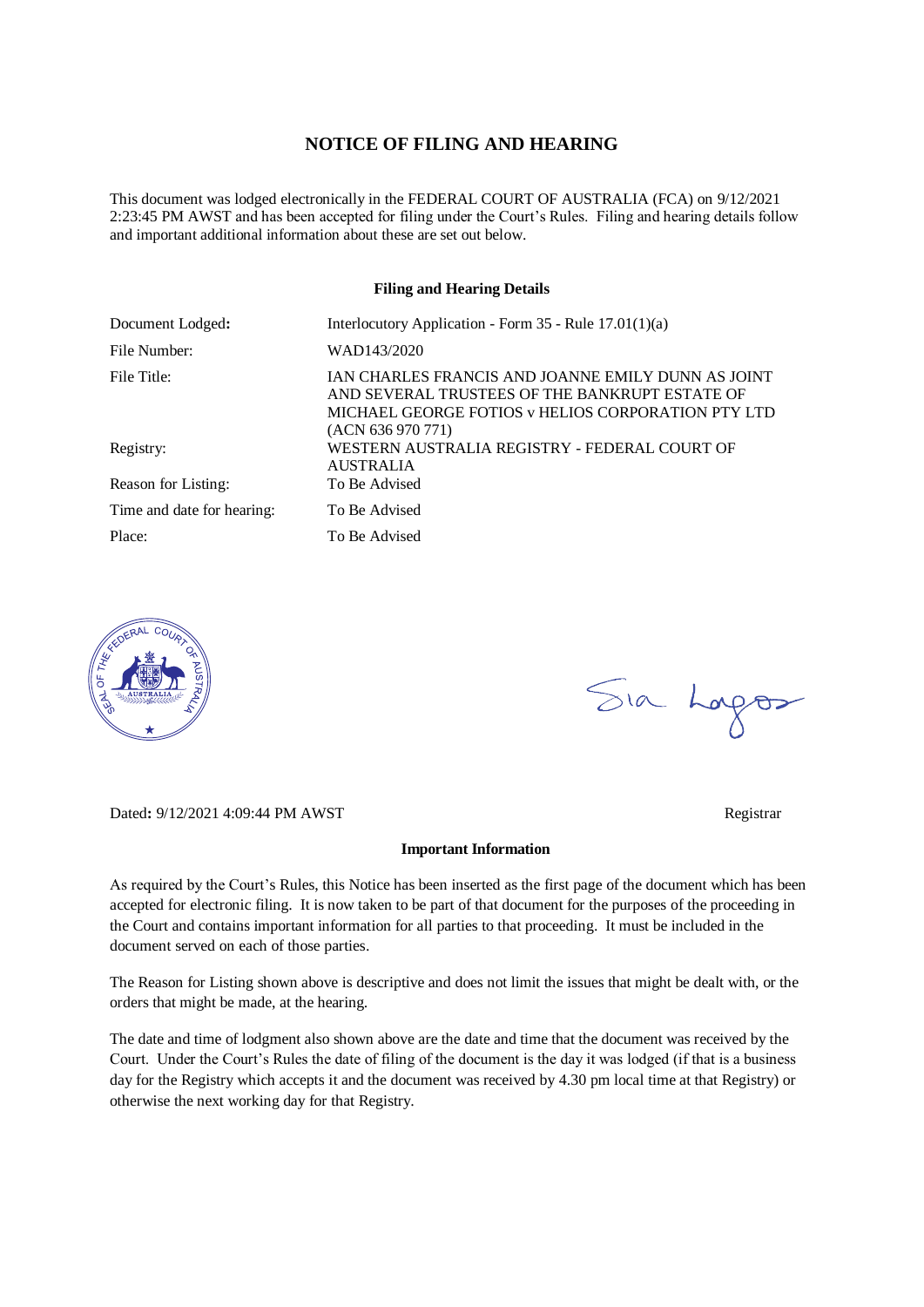## **NOTICE OF FILING AND HEARING**

This document was lodged electronically in the FEDERAL COURT OF AUSTRALIA (FCA) on 9/12/2021 2:23:45 PM AWST and has been accepted for filing under the Court's Rules. Filing and hearing details follow and important additional information about these are set out below.

### **Filing and Hearing Details**

| Document Lodged:           | Interlocutory Application - Form $35$ - Rule $17.01(1)(a)$                                                                                                                      |
|----------------------------|---------------------------------------------------------------------------------------------------------------------------------------------------------------------------------|
| File Number:               | WAD143/2020                                                                                                                                                                     |
| File Title:                | IAN CHARLES FRANCIS AND JOANNE EMILY DUNN AS JOINT<br>AND SEVERAL TRUSTEES OF THE BANKRUPT ESTATE OF<br>MICHAEL GEORGE FOTIOS y HELIOS CORPORATION PTY LTD<br>(ACN 636 970 771) |
| Registry:                  | WESTERN AUSTRALIA REGISTRY - FEDERAL COURT OF<br><b>AUSTRALIA</b>                                                                                                               |
| Reason for Listing:        | To Be Advised                                                                                                                                                                   |
| Time and date for hearing: | To Be Advised                                                                                                                                                                   |
| Place:                     | To Be Advised                                                                                                                                                                   |



Dated: 9/12/2021 4:09:44 PM AWST Registrar

# Sia Logos

#### **Important Information**

As required by the Court's Rules, this Notice has been inserted as the first page of the document which has been accepted for electronic filing. It is now taken to be part of that document for the purposes of the proceeding in the Court and contains important information for all parties to that proceeding. It must be included in the document served on each of those parties.

The Reason for Listing shown above is descriptive and does not limit the issues that might be dealt with, or the orders that might be made, at the hearing.

The date and time of lodgment also shown above are the date and time that the document was received by the Court. Under the Court's Rules the date of filing of the document is the day it was lodged (if that is a business day for the Registry which accepts it and the document was received by 4.30 pm local time at that Registry) or otherwise the next working day for that Registry.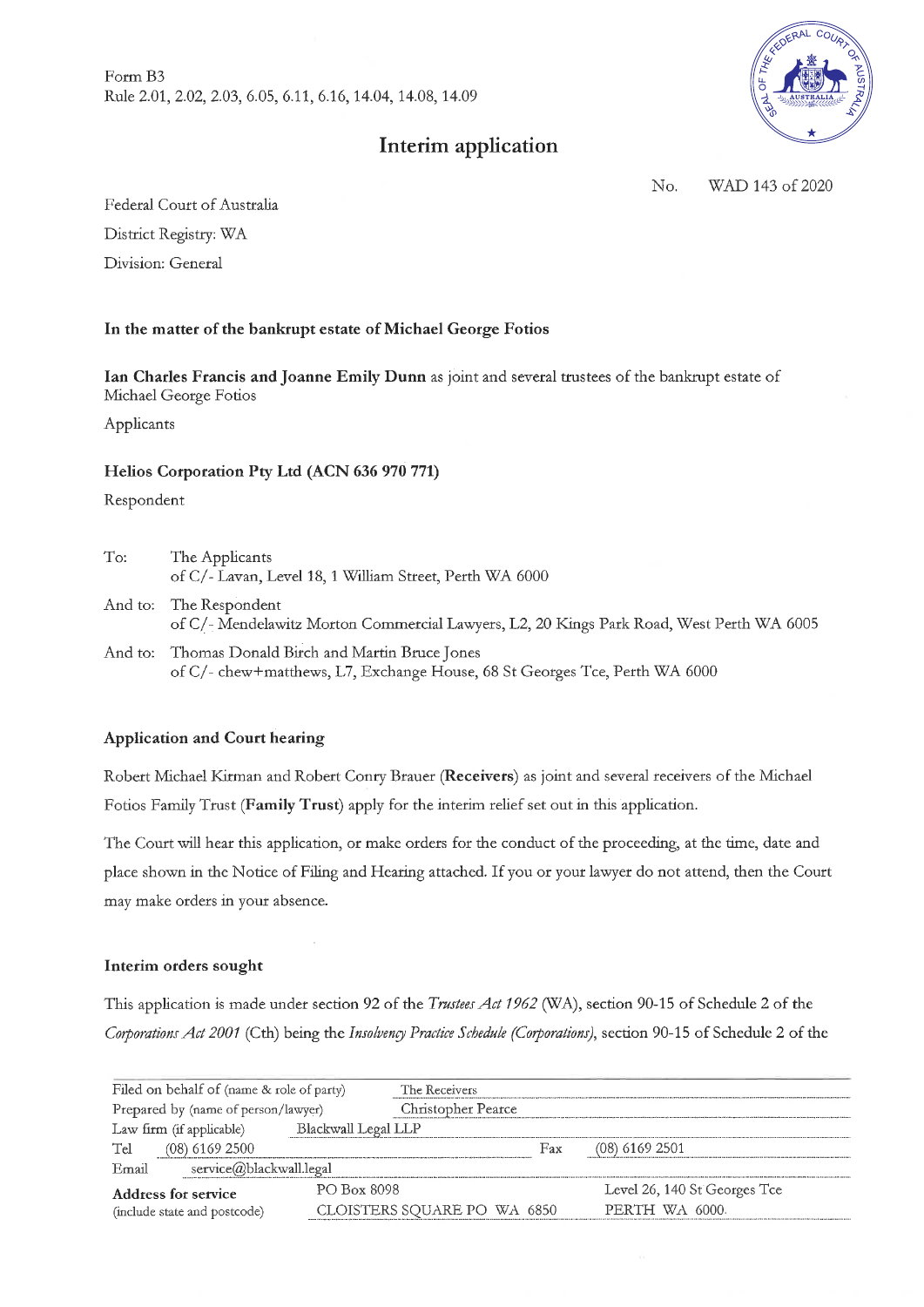Form B3 Rule 2.01, 2.02, 2.03, 6.05, 6.11, 6.16, 14.04, 14.08, 14.09

# Interim application



No. WAD 143 of 2020

Federal Court of Australia District Registry: WA Division: General

# In the matter of the bankrupt estate of Michael George Fotios

Ian Charles Francis and Joanne Emily Dunn as joint and several trustees of the bankrupt estate of Michael George Fotios

Applicants

## Helios Corporation Pty Ltd (ACN 636 970 771)

Respondent

| To:     | The Applicants<br>of C/- Lavan, Level 18, 1 William Street, Perth WA 6000                                                |
|---------|--------------------------------------------------------------------------------------------------------------------------|
|         | And to: The Respondent<br>of C/- Mendelawitz Morton Commercial Lawyers, L2, 20 Kings Park Road, West Perth WA 6005       |
| And to: | Thomas Donald Birch and Martin Bruce Jones<br>of C/- chew+matthews, L7, Exchange House, 68 St Georges Tce, Perth WA 6000 |

## **Application and Court hearing**

Robert Michael Kirman and Robert Conry Brauer (Receivers) as joint and several receivers of the Michael Fotios Family Trust (Family Trust) apply for the interim relief set out in this application.

The Court will hear this application, or make orders for the conduct of the proceeding, at the time, date and place shown in the Notice of Filing and Hearing attached. If you or your lawyer do not attend, then the Court may make orders in your absence.

## Interim orders sought

This application is made under section 92 of the Trustees Act 1962 (WA), section 90-15 of Schedule 2 of the Corporations Act 2001 (Cth) being the Insolvency Practice Schedule (Corporations), section 90-15 of Schedule 2 of the

| Filed on behalf of (name & role of party)       | The Receivers               |     |                              |
|-------------------------------------------------|-----------------------------|-----|------------------------------|
| Prepared by (name of person/lawyer)             | Christopher Pearce          |     |                              |
| Blackwall Legal LLP<br>Law firm (if applicable) |                             |     |                              |
| $(08)$ 6169 2500<br>Tel                         |                             | Fax | $(08)$ 6169 2501             |
| service@blackwall.legal<br>Email                |                             |     |                              |
| PO Box 8098<br>Address for service              |                             |     | Level 26, 140 St Georges Tce |
| (include state and postcode)                    | CLOISTERS SQUARE PO WA 6850 |     | PERTH WA 6000.               |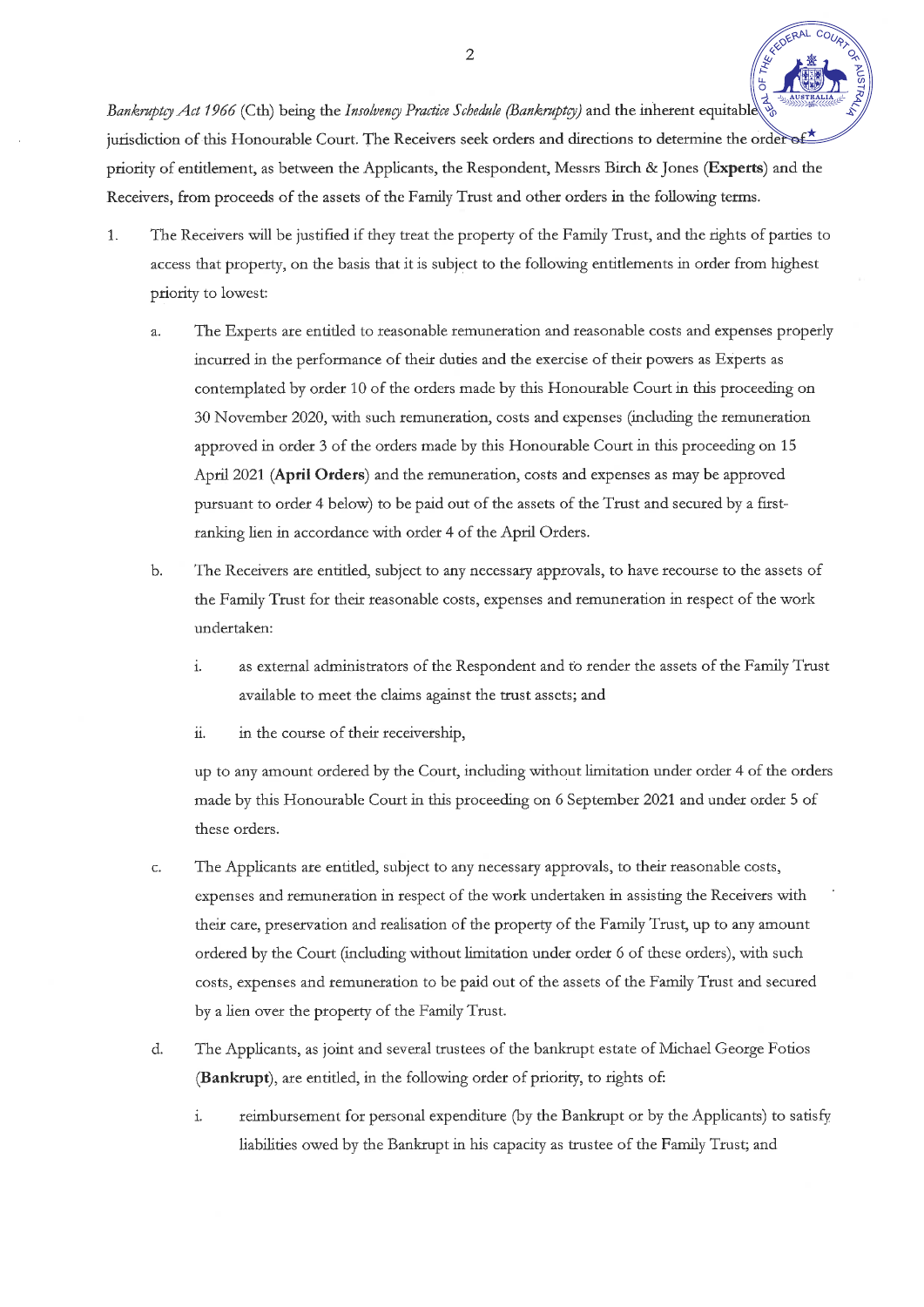Bankruptcy Act 1966 (Cth) being the Insolvency Practice Schedule (Bankruptcy) and the inherent equitable jurisdiction of this Honourable Court. The Receivers seek orders and directions to determine the order of priority of entitlement, as between the Applicants, the Respondent, Messrs Birch & Jones (Experts) and the Receivers, from proceeds of the assets of the Family Trust and other orders in the following terms.

- The Receivers will be justified if they treat the property of the Family Trust, and the rights of parties to  $\mathbf{1}$ . access that property, on the basis that it is subject to the following entitlements in order from highest priority to lowest:
	- The Experts are entitled to reasonable remuneration and reasonable costs and expenses properly  $\overline{a}$ . incurred in the performance of their duties and the exercise of their powers as Experts as contemplated by order 10 of the orders made by this Honourable Court in this proceeding on 30 November 2020, with such remuneration, costs and expenses (including the remuneration approved in order 3 of the orders made by this Honourable Court in this proceeding on 15 April 2021 (April Orders) and the remuneration, costs and expenses as may be approved pursuant to order 4 below) to be paid out of the assets of the Trust and secured by a firstranking lien in accordance with order 4 of the April Orders.
	- b. The Receivers are entitled, subject to any necessary approvals, to have recourse to the assets of the Family Trust for their reasonable costs, expenses and remuneration in respect of the work undertaken:
		- as external administrators of the Respondent and to render the assets of the Family Trust i. available to meet the claims against the trust assets; and
		- ii. in the course of their receivership,

up to any amount ordered by the Court, including without limitation under order 4 of the orders made by this Honourable Court in this proceeding on 6 September 2021 and under order 5 of these orders.

- The Applicants are entitled, subject to any necessary approvals, to their reasonable costs, c. expenses and remuneration in respect of the work undertaken in assisting the Receivers with their care, preservation and realisation of the property of the Family Trust, up to any amount ordered by the Court (including without limitation under order 6 of these orders), with such costs, expenses and remuneration to be paid out of the assets of the Family Trust and secured by a lien over the property of the Family Trust.
- The Applicants, as joint and several trustees of the bankrupt estate of Michael George Fotios d. (Bankrupt), are entitled, in the following order of priority, to rights of:
	- $\mathbf{i}$ . reimbursement for personal expenditure (by the Bankrupt or by the Applicants) to satisfy liabilities owed by the Bankrupt in his capacity as trustee of the Family Trust; and

 $\overline{2}$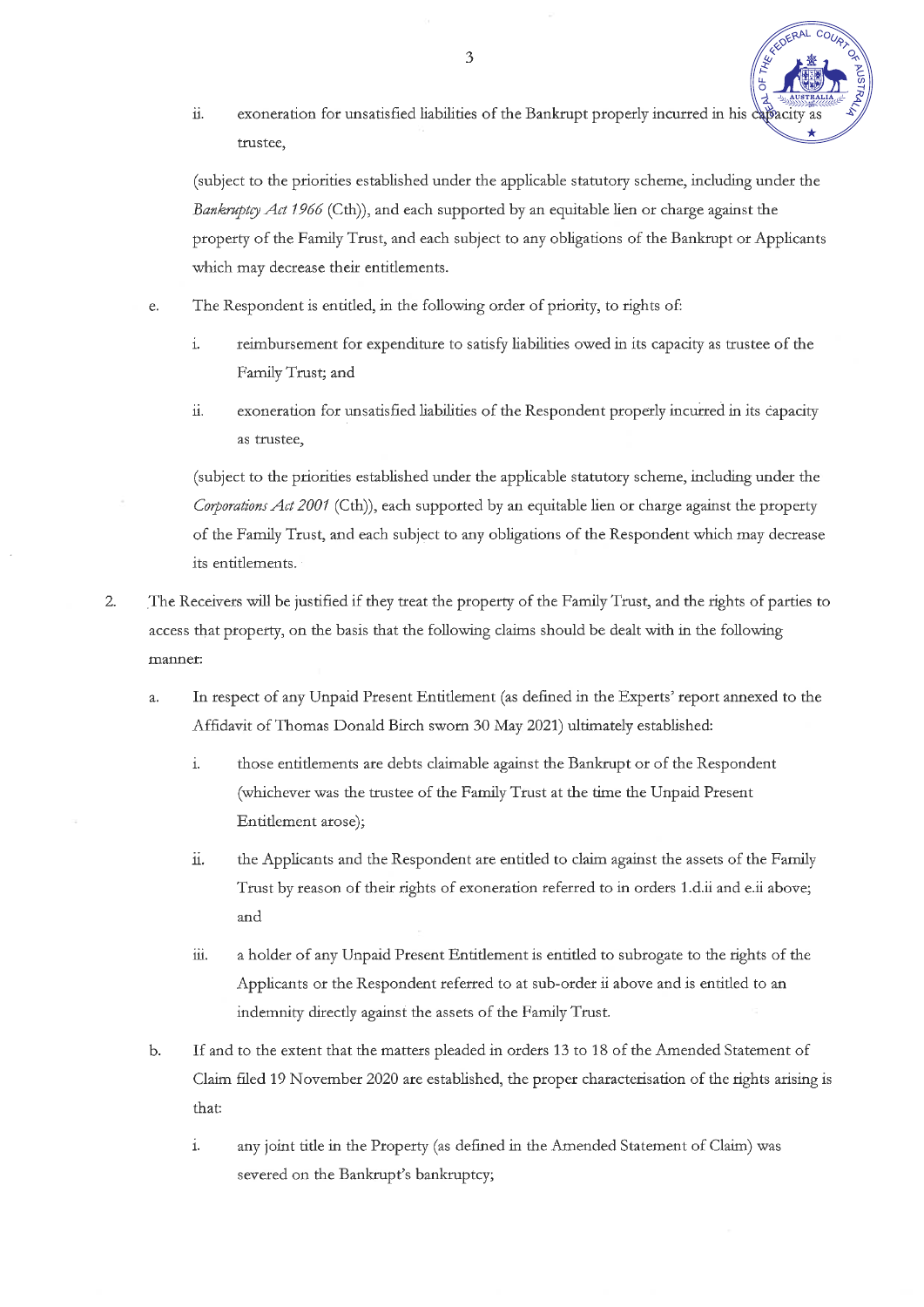

ii. exoneration for unsatisfied liabilities of the Bankrupt properly incurred in his capacity trustee.

(subject to the priorities established under the applicable statutory scheme, including under the Bankruptcy Act 1966 (Cth)), and each supported by an equitable lien or charge against the property of the Family Trust, and each subject to any obligations of the Bankrupt or Applicants which may decrease their entitlements.

- The Respondent is entitled, in the following order of priority, to rights of: e.
	- $\mathbf{i}$ . reimbursement for expenditure to satisfy liabilities owed in its capacity as trustee of the Family Trust; and
	- exoneration for unsatisfied liabilities of the Respondent properly incurred in its capacity ii. as trustee.

(subject to the priorities established under the applicable statutory scheme, including under the Corporations Act 2001 (Cth)), each supported by an equitable lien or charge against the property of the Family Trust, and each subject to any obligations of the Respondent which may decrease its entitlements.

- $\overline{2}$ . The Receivers will be justified if they treat the property of the Family Trust, and the rights of parties to access that property, on the basis that the following claims should be dealt with in the following manner:
	- $\overline{a}$ . In respect of any Unpaid Present Entitlement (as defined in the Experts' report annexed to the Affidavit of Thomas Donald Birch sworn 30 May 2021) ultimately established:
		- $\dot{1}$ those entitlements are debts claimable against the Bankrupt or of the Respondent (whichever was the trustee of the Family Trust at the time the Unpaid Present Entitlement arose);
		- ii. the Applicants and the Respondent are entitled to claim against the assets of the Family Trust by reason of their rights of exoneration referred to in orders 1.d.ii and e.ii above; and
		- iii. a holder of any Unpaid Present Entitlement is entitled to subrogate to the rights of the Applicants or the Respondent referred to at sub-order ii above and is entitled to an indemnity directly against the assets of the Family Trust.
	- $\mathbf b$ . If and to the extent that the matters pleaded in orders 13 to 18 of the Amended Statement of Claim filed 19 November 2020 are established, the proper characterisation of the rights arising is that:
		- $\rm i.$ any joint title in the Property (as defined in the Amended Statement of Claim) was severed on the Bankrupt's bankruptcy;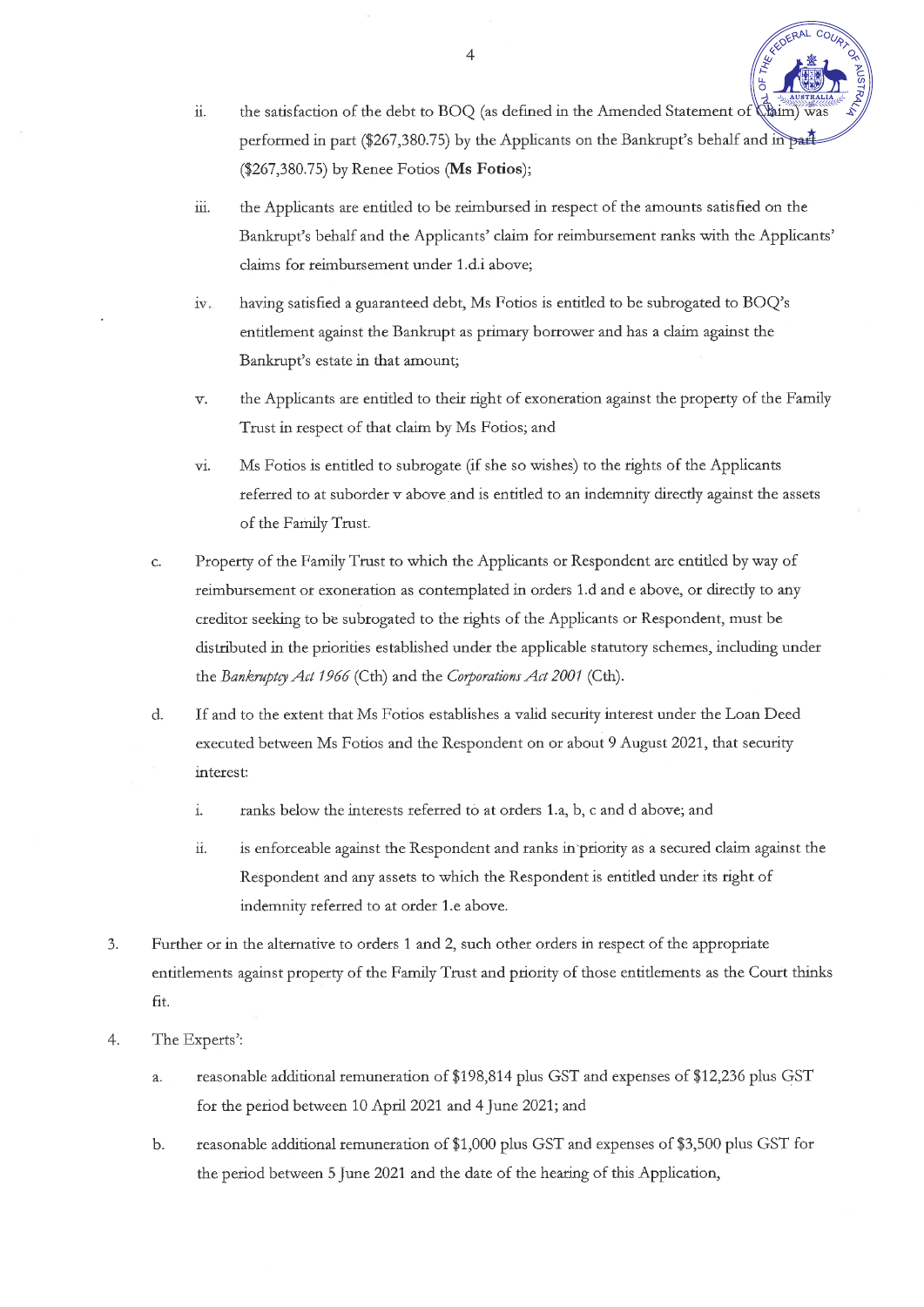the satisfaction of the debt to BOQ (as defined in the Amended Statement of dim)  $\ddot{\mathbf{1}}$ performed in part (\$267,380.75) by the Applicants on the Bankrupt's behalf and in part (\$267,380.75) by Renee Fotios (Ms Fotios);

**EDERAL** 

- iii. the Applicants are entitled to be reimbursed in respect of the amounts satisfied on the Bankrupt's behalf and the Applicants' claim for reimbursement ranks with the Applicants' claims for reimbursement under 1.d.i above;
- $iv.$ having satisfied a guaranteed debt, Ms Fotios is entitled to be subrogated to BOQ's entitlement against the Bankrupt as primary borrower and has a claim against the Bankrupt's estate in that amount;
- the Applicants are entitled to their right of exoneration against the property of the Family  $\overline{\mathbf{v}}$ . Trust in respect of that claim by Ms Fotios; and
- vi. Ms Fotios is entitled to subrogate (if she so wishes) to the rights of the Applicants referred to at suborder v above and is entitled to an indemnity directly against the assets of the Family Trust.
- Property of the Family Trust to which the Applicants or Respondent are entitled by way of c. reimbursement or exoneration as contemplated in orders 1.d and e above, or directly to any creditor seeking to be subrogated to the rights of the Applicants or Respondent, must be distributed in the priorities established under the applicable statutory schemes, including under the Bankruptcy Act 1966 (Cth) and the Corporations Act 2001 (Cth).
- $d.$ If and to the extent that Ms Fotios establishes a valid security interest under the Loan Deed executed between Ms Fotios and the Respondent on or about 9 August 2021, that security interest:
	- $\mathbf{i}$ . ranks below the interests referred to at orders 1.a, b, c and d above; and
	- ii. is enforceable against the Respondent and ranks in priority as a secured claim against the Respondent and any assets to which the Respondent is entitled under its right of indemnity referred to at order 1.e above.
- Further or in the alternative to orders 1 and 2, such other orders in respect of the appropriate 3. entitlements against property of the Family Trust and priority of those entitlements as the Court thinks fit.
- 4. The Experts':
	- reasonable additional remuneration of \$198,814 plus GST and expenses of \$12,236 plus GST a. for the period between 10 April 2021 and 4 June 2021; and
	- b. reasonable additional remuneration of \$1,000 plus GST and expenses of \$3,500 plus GST for the period between 5 June 2021 and the date of the hearing of this Application,

 $\overline{4}$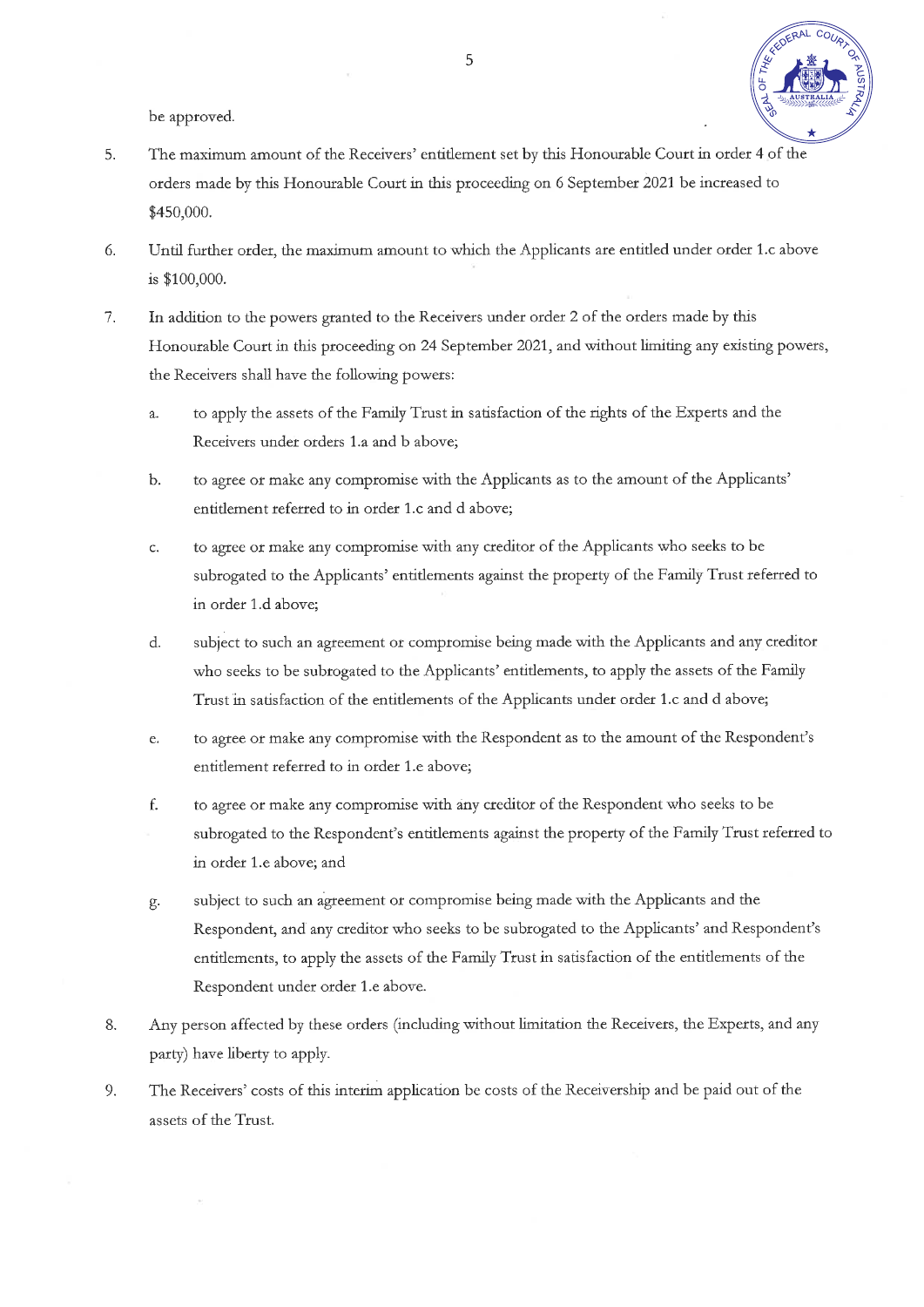

be approved.

- 5. The maximum amount of the Receivers' entitlement set by this Honourable Court in order 4 of the orders made by this Honourable Court in this proceeding on 6 September 2021 be increased to \$450,000.
- 6. Until further order, the maximum amount to which the Applicants are entitled under order 1.c above is \$100,000.
- In addition to the powers granted to the Receivers under order 2 of the orders made by this 7. Honourable Court in this proceeding on 24 September 2021, and without limiting any existing powers, the Receivers shall have the following powers:
	- to apply the assets of the Family Trust in satisfaction of the rights of the Experts and the a. Receivers under orders 1.a and b above;
	- to agree or make any compromise with the Applicants as to the amount of the Applicants'  $<sub>b</sub>$ .</sub> entitlement referred to in order 1.c and d above;
	- to agree or make any compromise with any creditor of the Applicants who seeks to be  $\mathsf{C}$ . subrogated to the Applicants' entitlements against the property of the Family Trust referred to in order 1.d above;
	- $d$ . subject to such an agreement or compromise being made with the Applicants and any creditor who seeks to be subrogated to the Applicants' entitlements, to apply the assets of the Family Trust in satisfaction of the entitlements of the Applicants under order 1.c and d above;
	- to agree or make any compromise with the Respondent as to the amount of the Respondent's e. entitlement referred to in order 1.e above;
	- f. to agree or make any compromise with any creditor of the Respondent who seeks to be subrogated to the Respondent's entitlements against the property of the Family Trust referred to in order 1.e above; and
	- subject to such an agreement or compromise being made with the Applicants and the  $g.$ Respondent, and any creditor who seeks to be subrogated to the Applicants' and Respondent's entitlements, to apply the assets of the Family Trust in satisfaction of the entitlements of the Respondent under order 1.e above.
- Any person affected by these orders (including without limitation the Receivers, the Experts, and any 8. party) have liberty to apply.
- The Receivers' costs of this interim application be costs of the Receivership and be paid out of the 9. assets of the Trust.